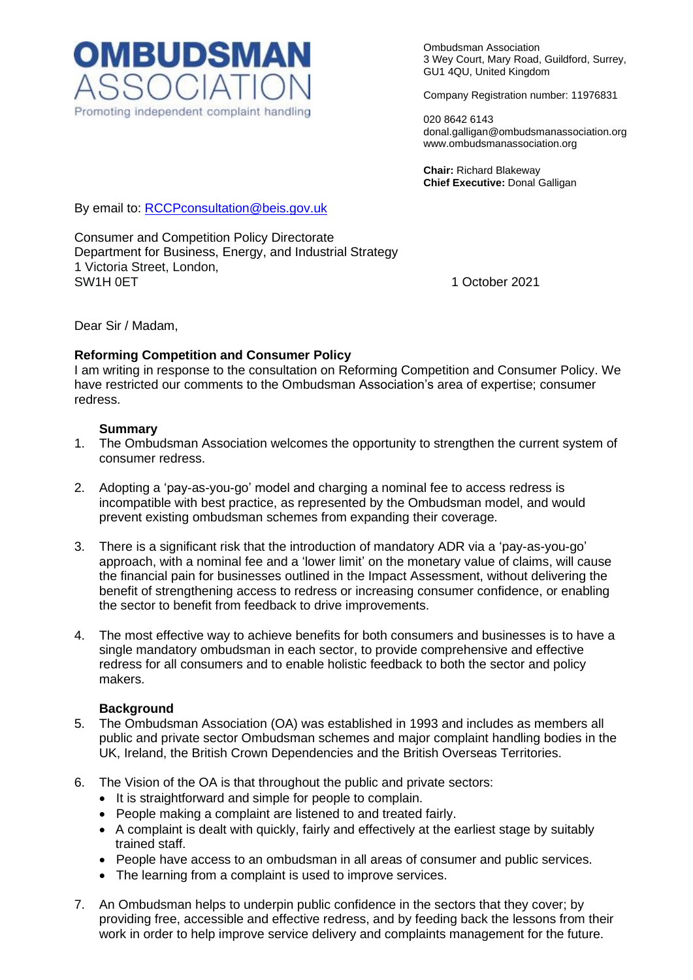

Ombudsman Association 3 Wey Court, Mary Road, Guildford, Surrey, GU1 4QU, United Kingdom

Company Registration number: 11976831

020 8642 6143 donal.galligan@ombudsmanassociation.org www.ombudsmanassociation.org

**Chair:** Richard Blakeway **Chief Executive:** Donal Galligan

By email to: [RCCPconsultation@beis.gov.uk](mailto:RCCPconsultation@beis.gov.uk)

Consumer and Competition Policy Directorate Department for Business, Energy, and Industrial Strategy 1 Victoria Street, London, SW1H 0ET 2021

Dear Sir / Madam,

#### **Reforming Competition and Consumer Policy**

I am writing in response to the consultation on Reforming Competition and Consumer Policy. We have restricted our comments to the Ombudsman Association's area of expertise; consumer redress.

#### **Summary**

- 1. The Ombudsman Association welcomes the opportunity to strengthen the current system of consumer redress.
- 2. Adopting a 'pay-as-you-go' model and charging a nominal fee to access redress is incompatible with best practice, as represented by the Ombudsman model, and would prevent existing ombudsman schemes from expanding their coverage.
- 3. There is a significant risk that the introduction of mandatory ADR via a 'pay-as-you-go' approach, with a nominal fee and a 'lower limit' on the monetary value of claims, will cause the financial pain for businesses outlined in the Impact Assessment, without delivering the benefit of strengthening access to redress or increasing consumer confidence, or enabling the sector to benefit from feedback to drive improvements.
- 4. The most effective way to achieve benefits for both consumers and businesses is to have a single mandatory ombudsman in each sector, to provide comprehensive and effective redress for all consumers and to enable holistic feedback to both the sector and policy makers.

#### **Background**

- 5. The Ombudsman Association (OA) was established in 1993 and includes as members all public and private sector Ombudsman schemes and major complaint handling bodies in the UK, Ireland, the British Crown Dependencies and the British Overseas Territories.
- 6. The Vision of the OA is that throughout the public and private sectors:
	- It is straightforward and simple for people to complain.
	- People making a complaint are listened to and treated fairly.
	- A complaint is dealt with quickly, fairly and effectively at the earliest stage by suitably trained staff.
	- People have access to an ombudsman in all areas of consumer and public services.
	- The learning from a complaint is used to improve services.
- 7. An Ombudsman helps to underpin public confidence in the sectors that they cover; by providing free, accessible and effective redress, and by feeding back the lessons from their work in order to help improve service delivery and complaints management for the future.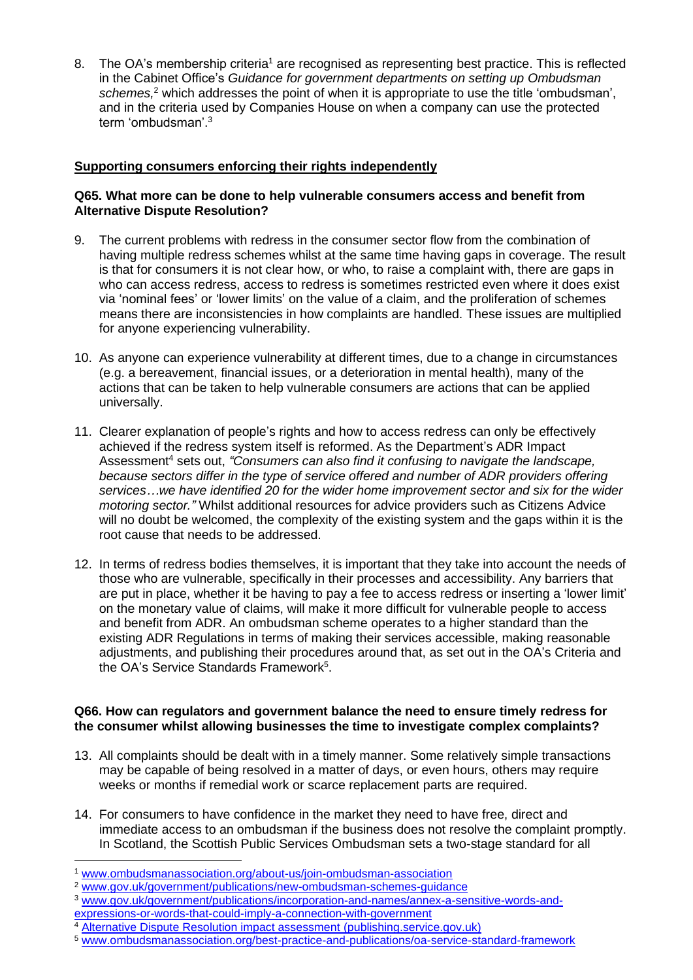8. The OA's membership criteria<sup>1</sup> are recognised as representing best practice. This is reflected in the Cabinet Office's *Guidance for government departments on setting up Ombudsman schemes,* <sup>2</sup> which addresses the point of when it is appropriate to use the title 'ombudsman', and in the criteria used by Companies House on when a company can use the protected term 'ombudsman'. 3

# **Supporting consumers enforcing their rights independently**

# **Q65. What more can be done to help vulnerable consumers access and benefit from Alternative Dispute Resolution?**

- 9. The current problems with redress in the consumer sector flow from the combination of having multiple redress schemes whilst at the same time having gaps in coverage. The result is that for consumers it is not clear how, or who, to raise a complaint with, there are gaps in who can access redress, access to redress is sometimes restricted even where it does exist via 'nominal fees' or 'lower limits' on the value of a claim, and the proliferation of schemes means there are inconsistencies in how complaints are handled. These issues are multiplied for anyone experiencing vulnerability.
- 10. As anyone can experience vulnerability at different times, due to a change in circumstances (e.g. a bereavement, financial issues, or a deterioration in mental health), many of the actions that can be taken to help vulnerable consumers are actions that can be applied universally.
- 11. Clearer explanation of people's rights and how to access redress can only be effectively achieved if the redress system itself is reformed. As the Department's ADR Impact Assessment<sup>4</sup> sets out, *"Consumers can also find it confusing to navigate the landscape, because sectors differ in the type of service offered and number of ADR providers offering services…we have identified 20 for the wider home improvement sector and six for the wider motoring sector."* Whilst additional resources for advice providers such as Citizens Advice will no doubt be welcomed, the complexity of the existing system and the gaps within it is the root cause that needs to be addressed.
- 12. In terms of redress bodies themselves, it is important that they take into account the needs of those who are vulnerable, specifically in their processes and accessibility. Any barriers that are put in place, whether it be having to pay a fee to access redress or inserting a 'lower limit' on the monetary value of claims, will make it more difficult for vulnerable people to access and benefit from ADR. An ombudsman scheme operates to a higher standard than the existing ADR Regulations in terms of making their services accessible, making reasonable adjustments, and publishing their procedures around that, as set out in the OA's Criteria and the OA's Service Standards Framework<sup>5</sup>.

# **Q66. How can regulators and government balance the need to ensure timely redress for the consumer whilst allowing businesses the time to investigate complex complaints?**

- 13. All complaints should be dealt with in a timely manner. Some relatively simple transactions may be capable of being resolved in a matter of days, or even hours, others may require weeks or months if remedial work or scarce replacement parts are required.
- 14. For consumers to have confidence in the market they need to have free, direct and immediate access to an ombudsman if the business does not resolve the complaint promptly. In Scotland, the Scottish Public Services Ombudsman sets a two-stage standard for all

- <sup>3</sup> [www.gov.uk/government/publications/incorporation-and-names/annex-a-sensitive-words-and](http://www.gov.uk/government/publications/incorporation-and-names/annex-a-sensitive-words-and-expressions-or-words-that-could-imply-a-connection-with-government)[expressions-or-words-that-could-imply-a-connection-with-government](http://www.gov.uk/government/publications/incorporation-and-names/annex-a-sensitive-words-and-expressions-or-words-that-could-imply-a-connection-with-government)
- 

<sup>1</sup> [www.ombudsmanassociation.org/about-us/join-ombudsman-association](http://www.ombudsmanassociation.org/about-us/join-ombudsman-association)

<sup>2</sup> [www.gov.uk/government/publications/new-ombudsman-schemes-guidance](http://www.gov.uk/government/publications/new-ombudsman-schemes-guidance)

<sup>4</sup> [Alternative Dispute Resolution impact assessment \(publishing.service.gov.uk\)](https://assets.publishing.service.gov.uk/government/uploads/system/uploads/attachment_data/file/1004037/rccp-alternative-dispute-resolution-ia.pdf)

<sup>5</sup> [www.ombudsmanassociation.org/best-practice-and-publications/oa-service-standard-framework](http://www.ombudsmanassociation.org/best-practice-and-publications/oa-service-standard-framework)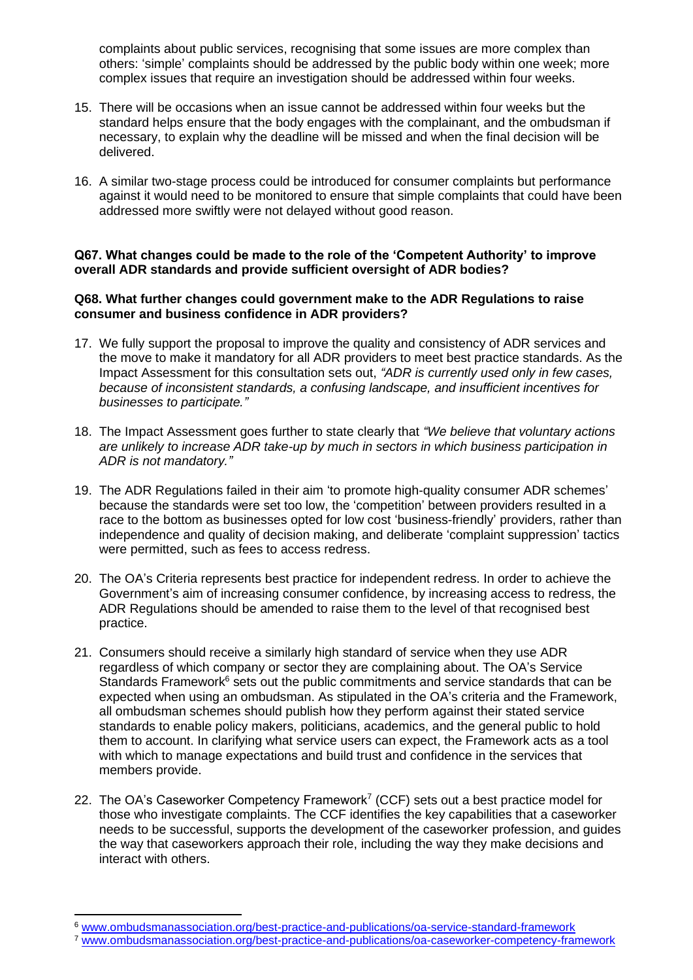complaints about public services, recognising that some issues are more complex than others: 'simple' complaints should be addressed by the public body within one week; more complex issues that require an investigation should be addressed within four weeks.

- 15. There will be occasions when an issue cannot be addressed within four weeks but the standard helps ensure that the body engages with the complainant, and the ombudsman if necessary, to explain why the deadline will be missed and when the final decision will be delivered.
- 16. A similar two-stage process could be introduced for consumer complaints but performance against it would need to be monitored to ensure that simple complaints that could have been addressed more swiftly were not delayed without good reason.

# **Q67. What changes could be made to the role of the 'Competent Authority' to improve overall ADR standards and provide sufficient oversight of ADR bodies?**

### **Q68. What further changes could government make to the ADR Regulations to raise consumer and business confidence in ADR providers?**

- 17. We fully support the proposal to improve the quality and consistency of ADR services and the move to make it mandatory for all ADR providers to meet best practice standards. As the Impact Assessment for this consultation sets out, *"ADR is currently used only in few cases, because of inconsistent standards, a confusing landscape, and insufficient incentives for businesses to participate."*
- 18. The Impact Assessment goes further to state clearly that *"We believe that voluntary actions are unlikely to increase ADR take-up by much in sectors in which business participation in ADR is not mandatory."*
- 19. The ADR Regulations failed in their aim 'to promote high-quality consumer ADR schemes' because the standards were set too low, the 'competition' between providers resulted in a race to the bottom as businesses opted for low cost 'business-friendly' providers, rather than independence and quality of decision making, and deliberate 'complaint suppression' tactics were permitted, such as fees to access redress.
- 20. The OA's Criteria represents best practice for independent redress. In order to achieve the Government's aim of increasing consumer confidence, by increasing access to redress, the ADR Regulations should be amended to raise them to the level of that recognised best practice.
- 21. Consumers should receive a similarly high standard of service when they use ADR regardless of which company or sector they are complaining about. The OA's Service Standards Framework $6$  sets out the public commitments and service standards that can be expected when using an ombudsman. As stipulated in the OA's criteria and the Framework, all ombudsman schemes should publish how they perform against their stated service standards to enable policy makers, politicians, academics, and the general public to hold them to account. In clarifying what service users can expect, the Framework acts as a tool with which to manage expectations and build trust and confidence in the services that members provide.
- 22. The OA's Caseworker Competency Framework<sup>7</sup> (CCF) sets out a best practice model for those who investigate complaints. The CCF identifies the key capabilities that a caseworker needs to be successful, supports the development of the caseworker profession, and guides the way that caseworkers approach their role, including the way they make decisions and interact with others.

<sup>6</sup> [www.ombudsmanassociation.org/best-practice-and-publications/oa-service-standard-framework](http://www.ombudsmanassociation.org/best-practice-and-publications/oa-service-standard-framework)

<sup>7</sup> [www.ombudsmanassociation.org/best-practice-and-publications/oa-caseworker-competency-framework](http://www.ombudsmanassociation.org/best-practice-and-publications/oa-caseworker-competency-framework)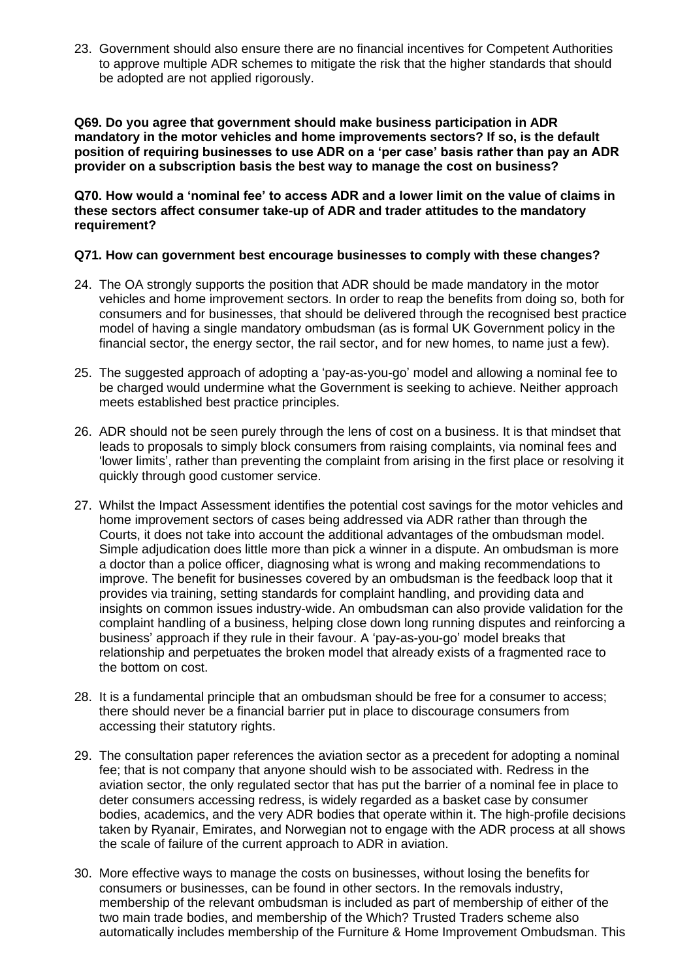23. Government should also ensure there are no financial incentives for Competent Authorities to approve multiple ADR schemes to mitigate the risk that the higher standards that should be adopted are not applied rigorously.

**Q69. Do you agree that government should make business participation in ADR mandatory in the motor vehicles and home improvements sectors? If so, is the default position of requiring businesses to use ADR on a 'per case' basis rather than pay an ADR provider on a subscription basis the best way to manage the cost on business?** 

**Q70. How would a 'nominal fee' to access ADR and a lower limit on the value of claims in these sectors affect consumer take-up of ADR and trader attitudes to the mandatory requirement?** 

#### **Q71. How can government best encourage businesses to comply with these changes?**

- 24. The OA strongly supports the position that ADR should be made mandatory in the motor vehicles and home improvement sectors. In order to reap the benefits from doing so, both for consumers and for businesses, that should be delivered through the recognised best practice model of having a single mandatory ombudsman (as is formal UK Government policy in the financial sector, the energy sector, the rail sector, and for new homes, to name just a few).
- 25. The suggested approach of adopting a 'pay-as-you-go' model and allowing a nominal fee to be charged would undermine what the Government is seeking to achieve. Neither approach meets established best practice principles.
- 26. ADR should not be seen purely through the lens of cost on a business. It is that mindset that leads to proposals to simply block consumers from raising complaints, via nominal fees and 'lower limits', rather than preventing the complaint from arising in the first place or resolving it quickly through good customer service.
- 27. Whilst the Impact Assessment identifies the potential cost savings for the motor vehicles and home improvement sectors of cases being addressed via ADR rather than through the Courts, it does not take into account the additional advantages of the ombudsman model. Simple adjudication does little more than pick a winner in a dispute. An ombudsman is more a doctor than a police officer, diagnosing what is wrong and making recommendations to improve. The benefit for businesses covered by an ombudsman is the feedback loop that it provides via training, setting standards for complaint handling, and providing data and insights on common issues industry-wide. An ombudsman can also provide validation for the complaint handling of a business, helping close down long running disputes and reinforcing a business' approach if they rule in their favour. A 'pay-as-you-go' model breaks that relationship and perpetuates the broken model that already exists of a fragmented race to the bottom on cost.
- 28. It is a fundamental principle that an ombudsman should be free for a consumer to access; there should never be a financial barrier put in place to discourage consumers from accessing their statutory rights.
- 29. The consultation paper references the aviation sector as a precedent for adopting a nominal fee; that is not company that anyone should wish to be associated with. Redress in the aviation sector, the only regulated sector that has put the barrier of a nominal fee in place to deter consumers accessing redress, is widely regarded as a basket case by consumer bodies, academics, and the very ADR bodies that operate within it. The high-profile decisions taken by Ryanair, Emirates, and Norwegian not to engage with the ADR process at all shows the scale of failure of the current approach to ADR in aviation.
- 30. More effective ways to manage the costs on businesses, without losing the benefits for consumers or businesses, can be found in other sectors. In the removals industry, membership of the relevant ombudsman is included as part of membership of either of the two main trade bodies, and membership of the Which? Trusted Traders scheme also automatically includes membership of the Furniture & Home Improvement Ombudsman. This